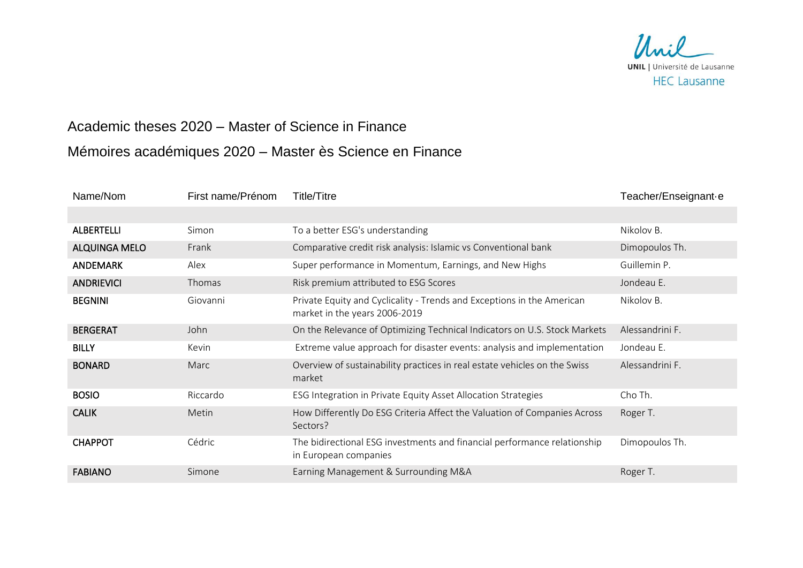

## Academic theses 2020 – Master of Science in Finance Mémoires académiques 2020 – Master ès Science en Finance

| Name/Nom             | First name/Prénom | Title/Titre                                                                                             | Teacher/Enseignant·e |
|----------------------|-------------------|---------------------------------------------------------------------------------------------------------|----------------------|
|                      |                   |                                                                                                         |                      |
| <b>ALBERTELLI</b>    | Simon             | To a better ESG's understanding                                                                         | Nikolov B.           |
| <b>ALQUINGA MELO</b> | Frank             | Comparative credit risk analysis: Islamic vs Conventional bank                                          | Dimopoulos Th.       |
| <b>ANDEMARK</b>      | Alex              | Super performance in Momentum, Earnings, and New Highs                                                  | Guillemin P.         |
| <b>ANDRIEVICI</b>    | Thomas            | Risk premium attributed to ESG Scores                                                                   | Jondeau E.           |
| <b>BEGNINI</b>       | Giovanni          | Private Equity and Cyclicality - Trends and Exceptions in the American<br>market in the years 2006-2019 | Nikolov B.           |
| <b>BERGERAT</b>      | John              | On the Relevance of Optimizing Technical Indicators on U.S. Stock Markets                               | Alessandrini F.      |
| <b>BILLY</b>         | Kevin             | Extreme value approach for disaster events: analysis and implementation                                 | Jondeau E.           |
| <b>BONARD</b>        | Marc              | Overview of sustainability practices in real estate vehicles on the Swiss<br>market                     | Alessandrini F.      |
| <b>BOSIO</b>         | Riccardo          | ESG Integration in Private Equity Asset Allocation Strategies                                           | Cho Th.              |
| <b>CALIK</b>         | Metin             | How Differently Do ESG Criteria Affect the Valuation of Companies Across<br>Sectors?                    | Roger T.             |
| <b>CHAPPOT</b>       | Cédric            | The bidirectional ESG investments and financial performance relationship<br>in European companies       | Dimopoulos Th.       |
| <b>FABIANO</b>       | Simone            | Earning Management & Surrounding M&A                                                                    | Roger T.             |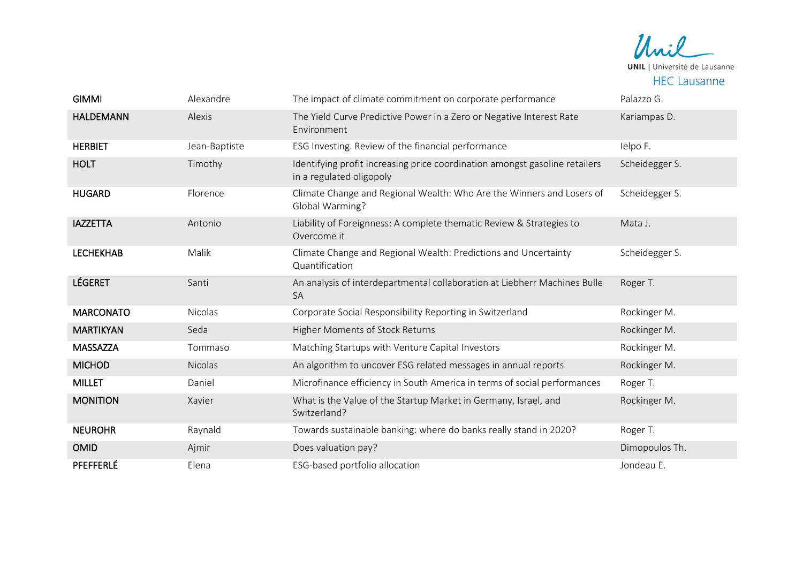Unil **UNIL** | Université de Lausanne **HEC Lausanne** 

| <b>GIMMI</b>     | Alexandre     | The impact of climate commitment on corporate performance                                               | Palazzo G.     |
|------------------|---------------|---------------------------------------------------------------------------------------------------------|----------------|
| <b>HALDEMANN</b> | Alexis        | The Yield Curve Predictive Power in a Zero or Negative Interest Rate<br>Environment                     | Kariampas D.   |
| <b>HERBIET</b>   | Jean-Baptiste | ESG Investing. Review of the financial performance                                                      | Ielpo F.       |
| <b>HOLT</b>      | Timothy       | Identifying profit increasing price coordination amongst gasoline retailers<br>in a regulated oligopoly | Scheidegger S. |
| <b>HUGARD</b>    | Florence      | Climate Change and Regional Wealth: Who Are the Winners and Losers of<br>Global Warming?                | Scheidegger S. |
| <b>IAZZETTA</b>  | Antonio       | Liability of Foreignness: A complete thematic Review & Strategies to<br>Overcome it                     | Mata J.        |
| <b>LECHEKHAB</b> | Malik         | Climate Change and Regional Wealth: Predictions and Uncertainty<br>Quantification                       | Scheidegger S. |
| <b>LÉGERET</b>   | Santi         | An analysis of interdepartmental collaboration at Liebherr Machines Bulle<br><b>SA</b>                  | Roger T.       |
| <b>MARCONATO</b> | Nicolas       | Corporate Social Responsibility Reporting in Switzerland                                                | Rockinger M.   |
| <b>MARTIKYAN</b> | Seda          | Higher Moments of Stock Returns                                                                         | Rockinger M.   |
| <b>MASSAZZA</b>  | Tommaso       | Matching Startups with Venture Capital Investors                                                        | Rockinger M.   |
| <b>MICHOD</b>    | Nicolas       | An algorithm to uncover ESG related messages in annual reports                                          | Rockinger M.   |
| <b>MILLET</b>    | Daniel        | Microfinance efficiency in South America in terms of social performances                                | Roger T.       |
| <b>MONITION</b>  | Xavier        | What is the Value of the Startup Market in Germany, Israel, and<br>Switzerland?                         | Rockinger M.   |
| <b>NEUROHR</b>   | Raynald       | Towards sustainable banking: where do banks really stand in 2020?                                       | Roger T.       |
| <b>OMID</b>      | Ajmir         | Does valuation pay?                                                                                     | Dimopoulos Th. |
| PFEFFERLÉ        | Elena         | ESG-based portfolio allocation                                                                          | Jondeau E.     |